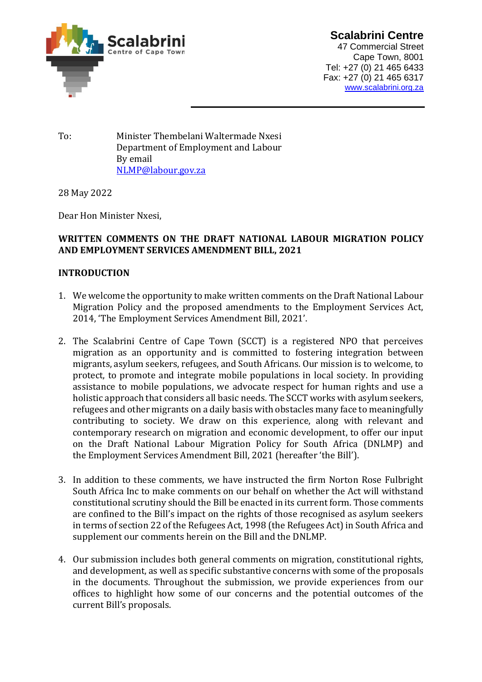

**Scalabrini Centre**  47 Commercial Street Cape Town, 8001 Tel: +27 (0) 21 465 6433 Fax: +27 (0) 21 465 6317 [www.scalabrini.org.za](http://www.scalabrini.org.za/)

To: Minister Thembelani Waltermade Nxesi Department of Employment and Labour By email [NLMP@labour.gov.za](mailto:NLMP@labour.gov.za)

28 May 2022

Dear Hon Minister Nxesi,

## **WRITTEN COMMENTS ON THE DRAFT NATIONAL LABOUR MIGRATION POLICY AND EMPLOYMENT SERVICES AMENDMENT BILL, 2021**

## **INTRODUCTION**

- 1. We welcome the opportunity to make written comments on the Draft National Labour Migration Policy and the proposed amendments to the Employment Services Act, 2014, 'The Employment Services Amendment Bill, 2021'.
- 2. The Scalabrini Centre of Cape Town (SCCT) is a registered NPO that perceives migration as an opportunity and is committed to fostering integration between migrants, asylum seekers, refugees, and South Africans. Our mission is to welcome, to protect, to promote and integrate mobile populations in local society. In providing assistance to mobile populations, we advocate respect for human rights and use a holistic approach that considers all basic needs. The SCCT works with asylum seekers, refugees and other migrants on a daily basis with obstacles many face to meaningfully contributing to society. We draw on this experience, along with relevant and contemporary research on migration and economic development, to offer our input on the Draft National Labour Migration Policy for South Africa (DNLMP) and the Employment Services Amendment Bill, 2021 (hereafter 'the Bill').
- 3. In addition to these comments, we have instructed the firm Norton Rose Fulbright South Africa Inc to make comments on our behalf on whether the Act will withstand constitutional scrutiny should the Bill be enacted in its current form. Those comments are confined to the Bill's impact on the rights of those recognised as asylum seekers in terms of section 22 of the Refugees Act, 1998 (the Refugees Act) in South Africa and supplement our comments herein on the Bill and the DNLMP.
- 4. Our submission includes both general comments on migration, constitutional rights, and development, as well as specific substantive concerns with some of the proposals in the documents. Throughout the submission, we provide experiences from our offices to highlight how some of our concerns and the potential outcomes of the current Bill's proposals.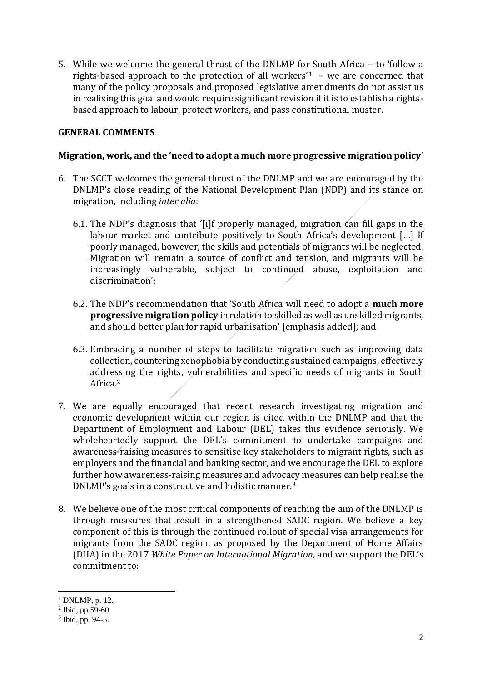5. While we welcome the general thrust of the DNLMP for South Africa – to 'follow a rights-based approach to the protection of all workers<sup>'1</sup> – we are concerned that many of the policy proposals and proposed legislative amendments do not assist us in realising this goal and would require significant revision if it is to establish a rightsbased approach to labour, protect workers, and pass constitutional muster.

### **GENERAL COMMENTS**

#### **Migration, work, and the 'need to adopt a much more progressive migration policy'**

- 6. The SCCT welcomes the general thrust of the DNLMP and we are encouraged by the DNLMP's close reading of the National Development Plan (NDP) and its stance on migration, including *inter alia*:
	- 6.1. The NDP's diagnosis that '[i]f properly managed, migration can fill gaps in the labour market and contribute positively to South Africa's development [...] If poorly managed, however, the skills and potentials of migrants will be neglected. Migration will remain a source of conflict and tension, and migrants will be increasingly vulnerable, subject to continued abuse, exploitation and discrimination';
	- 6.2. The NDP's recommendation that 'South Africa will need to adopt a **much more progressive migration policy** in relation to skilled as well as unskilled migrants, and should better plan for rapid urbanisation' [emphasis added]; and
	- 6.3. Embracing a number of steps to facilitate migration such as improving data collection, countering xenophobia by conducting sustained campaigns, effectively addressing the rights, vulnerabilities and specific needs of migrants in South Africa.<sup>2</sup>
- 7. We are equally encouraged that recent research investigating migration and economic development within our region is cited within the DNLMP and that the Department of Employment and Labour (DEL) takes this evidence seriously. We wholeheartedly support the DEL's commitment to undertake campaigns and awareness-raising measures to sensitise key stakeholders to migrant rights, such as employers and the financial and banking sector, and we encourage the DEL to explore further how awareness-raising measures and advocacy measures can help realise the DNLMP's goals in a constructive and holistic manner.<sup>3</sup>
- 8. We believe one of the most critical components of reaching the aim of the DNLMP is through measures that result in a strengthened SADC region. We believe a key component of this is through the continued rollout of special visa arrangements for migrants from the SADC region, as proposed by the Department of Home Affairs (DHA) in the 2017 *White Paper on International Migration,* and we support the DEL's commitment to:

 $1$  DNLMP, p. 12.

 $2$  Ibid, pp.59-60.

<sup>3</sup> Ibid, pp. 94-5.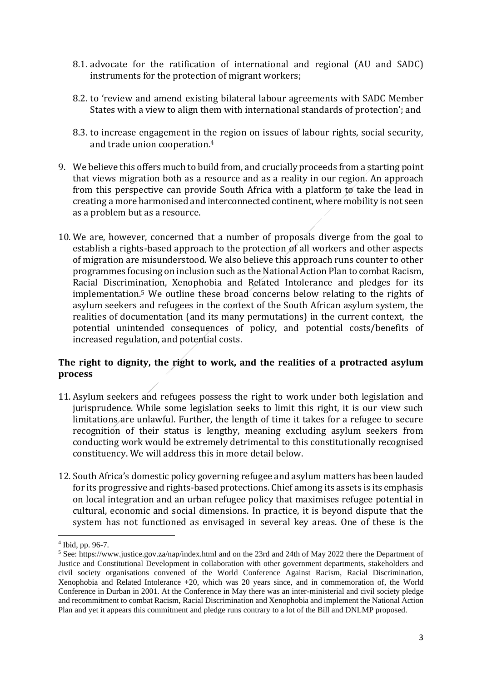- 8.1. advocate for the ratification of international and regional (AU and SADC) instruments for the protection of migrant workers;
- 8.2. to 'review and amend existing bilateral labour agreements with SADC Member States with a view to align them with international standards of protection'; and
- 8.3. to increase engagement in the region on issues of labour rights, social security, and trade union cooperation. 4
- 9. We believe this offers much to build from, and crucially proceeds from a starting point that views migration both as a resource and as a reality in our region. An approach from this perspective can provide South Africa with a platform to take the lead in creating a more harmonised and interconnected continent, where mobility is not seen as a problem but as a resource.
- 10. We are, however, concerned that a number of proposals diverge from the goal to establish a rights-based approach to the protection of all workers and other aspects of migration are misunderstood. We also believe this approach runs counter to other programmes focusing on inclusion such as the National Action Plan to combat Racism, Racial Discrimination, Xenophobia and Related Intolerance and pledges for its implementation. <sup>5</sup> We outline these broad concerns below relating to the rights of asylum seekers and refugees in the context of the South African asylum system, the realities of documentation (and its many permutations) in the current context, the potential unintended consequences of policy, and potential costs/benefits of increased regulation, and potential costs.

# **The right to dignity, the right to work, and the realities of a protracted asylum process**

- 11. Asylum seekers and refugees possess the right to work under both legislation and jurisprudence. While some legislation seeks to limit this right, it is our view such limitations are unlawful. Further, the length of time it takes for a refugee to secure recognition of their status is lengthy, meaning excluding asylum seekers from conducting work would be extremely detrimental to this constitutionally recognised constituency. We will address this in more detail below.
- 12. South Africa's domestic policy governing refugee and asylum matters has been lauded for its progressive and rights-based protections. Chief among its assets is its emphasis on local integration and an urban refugee policy that maximises refugee potential in cultural, economic and social dimensions. In practice, it is beyond dispute that the system has not functioned as envisaged in several key areas. One of these is the

<sup>4</sup> Ibid, pp. 96-7.

<sup>5</sup> See: https://www.justice.gov.za/nap/index.html and on the 23rd and 24th of May 2022 there the Department of Justice and Constitutional Development in collaboration with other government departments, stakeholders and civil society organisations convened of the World Conference Against Racism, Racial Discrimination, Xenophobia and Related Intolerance +20, which was 20 years since, and in commemoration of, the World Conference in Durban in 2001. At the Conference in May there was an inter-ministerial and civil society pledge and recommitment to combat Racism, Racial Discrimination and Xenophobia and implement the National Action Plan and yet it appears this commitment and pledge runs contrary to a lot of the Bill and DNLMP proposed.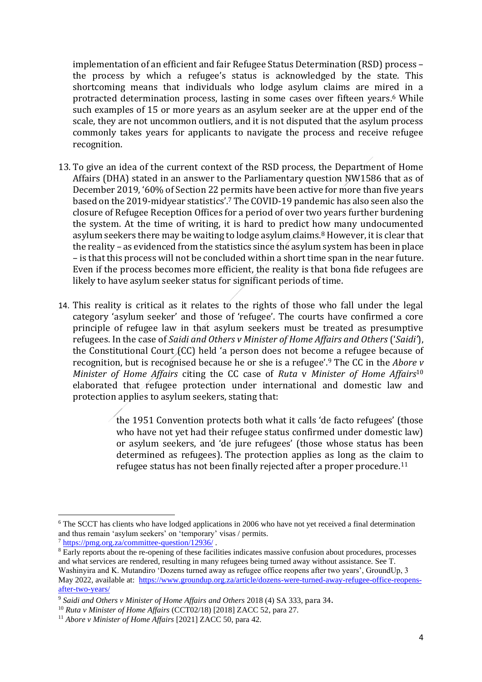implementation of an efficient and fair Refugee Status Determination (RSD) process – the process by which a refugee's status is acknowledged by the state. This shortcoming means that individuals who lodge asylum claims are mired in a protracted determination process, lasting in some cases over fifteen years. <sup>6</sup> While such examples of 15 or more years as an asylum seeker are at the upper end of the scale, they are not uncommon outliers, and it is not disputed that the asylum process commonly takes years for applicants to navigate the process and receive refugee recognition.

- 13. To give an idea of the current context of the RSD process, the Department of Home Affairs (DHA) stated in an answer to the Parliamentary question NW1586 that as of December 2019, '60% of Section 22 permits have been active for more than five years based on the 2019-midyear statistics'.<sup>7</sup> The COVID-19 pandemic has also seen also the closure of Refugee Reception Offices for a period of over two years further burdening the system. At the time of writing, it is hard to predict how many undocumented asylum seekers there may be waiting to lodge asylum claims.<sup>8</sup> However, it is clear that the reality – as evidenced from the statistics since the asylum system has been in place – is that this process will not be concluded within a short time span in the near future. Even if the process becomes more efficient, the reality is that bona fide refugees are likely to have asylum seeker status for significant periods of time.
- 14. This reality is critical as it relates to the rights of those who fall under the legal category 'asylum seeker' and those of 'refugee'. The courts have confirmed a core principle of refugee law in that asylum seekers must be treated as presumptive refugees. In the case of *Saidi and Others v Minister of Home Affairs and Others* ('*Saidi'*), the Constitutional Court (CC) held 'a person does not become a refugee because of recognition, but is recognised because he or she is a refugee'.<sup>9</sup> The CC in the *Abore v Minister of Home Affairs* citing the CC case of *Ruta* v *Minister of Home Affairs*<sup>10</sup> elaborated that refugee protection under international and domestic law and protection applies to asylum seekers, stating that:

the 1951 Convention protects both what it calls 'de facto refugees' (those who have not yet had their refugee status confirmed under domestic law) or asylum seekers, and 'de jure refugees' (those whose status has been determined as refugees). The protection applies as long as the claim to refugee status has not been finally rejected after a proper procedure.<sup>11</sup>

<sup>&</sup>lt;sup>6</sup> The SCCT has clients who have lodged applications in 2006 who have not yet received a final determination and thus remain 'asylum seekers' on 'temporary' visas / permits.

<sup>7</sup> <https://pmg.org.za/committee-question/12936/> .

<sup>8</sup> Early reports about the re-opening of these facilities indicates massive confusion about procedures, processes and what services are rendered, resulting in many refugees being turned away without assistance. See T. Washinyira and K. Mutandiro 'Dozens turned away as refugee office reopens after two years', GroundUp, 3 May 2022, available at: [https://www.groundup.org.za/article/dozens-were-turned-away-refugee-office-reopens](https://www.groundup.org.za/article/dozens-were-turned-away-refugee-office-reopens-after-two-years/)[after-two-years/](https://www.groundup.org.za/article/dozens-were-turned-away-refugee-office-reopens-after-two-years/)

<sup>9</sup> *Saidi and Others v Minister of Home Affairs and Others* 2018 (4) SA 333, para 34.

<sup>10</sup> *Ruta v Minister of Home Affairs* (CCT02/18) [2018] ZACC 52, para 27.

<sup>11</sup> *Abore v Minister of Home Affairs* [2021] ZACC 50, para 42.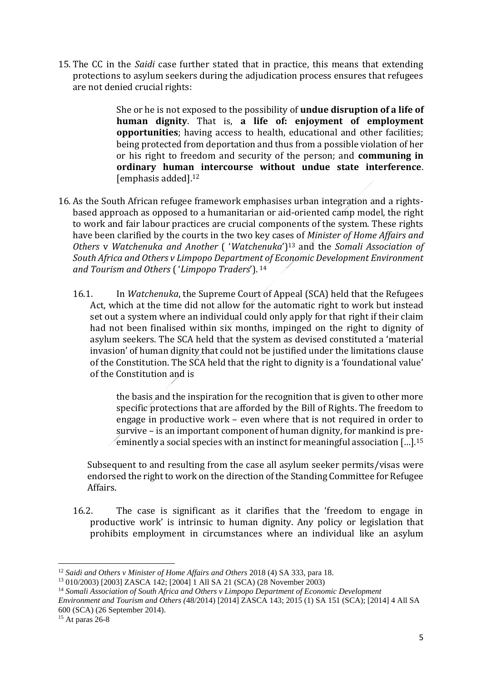15. The CC in the *Saidi* case further stated that in practice, this means that extending protections to asylum seekers during the adjudication process ensures that refugees are not denied crucial rights:

> She or he is not exposed to the possibility of **undue disruption of a life of human dignity**. That is, **a life of: enjoyment of employment opportunities**; having access to health, educational and other facilities; being protected from deportation and thus from a possible violation of her or his right to freedom and security of the person; and **communing in ordinary human intercourse without undue state interference**. [emphasis added].<sup>12</sup>

- 16. As the South African refugee framework emphasises urban integration and a rightsbased approach as opposed to a humanitarian or aid-oriented camp model, the right to work and fair labour practices are crucial components of the system. These rights have been clarified by the courts in the two key cases of *Minister of Home Affairs and Others* v *Watchenuka and Another* ( '*Watchenuka*')<sup>13</sup> and the *Somali Association of South Africa and Others v Limpopo Department of Economic Development Environment and Tourism and Others* ( '*Limpopo Traders*'). <sup>14</sup>
	- 16.1. In *Watchenuka*, the Supreme Court of Appeal (SCA) held that the Refugees Act, which at the time did not allow for the automatic right to work but instead set out a system where an individual could only apply for that right if their claim had not been finalised within six months, impinged on the right to dignity of asylum seekers. The SCA held that the system as devised constituted a 'material invasion' of human dignity that could not be justified under the limitations clause of the Constitution. The SCA held that the right to dignity is a 'foundational value' of the Constitution and is

the basis and the inspiration for the recognition that is given to other more specific protections that are afforded by the Bill of Rights. The freedom to engage in productive work – even where that is not required in order to survive – is an important component of human dignity, for mankind is preeminently a social species with an instinct for meaningful association […].<sup>15</sup>

Subsequent to and resulting from the case all asylum seeker permits/visas were endorsed the right to work on the direction of the Standing Committee for Refugee Affairs.

16.2. The case is significant as it clarifies that the 'freedom to engage in productive work' is intrinsic to human dignity. Any policy or legislation that prohibits employment in circumstances where an individual like an asylum

<sup>12</sup> *Saidi and Others v Minister of Home Affairs and Others* 2018 (4) SA 333, para 18.

<sup>13</sup> 010/2003) [2003] ZASCA 142; [2004] 1 All SA 21 (SCA) (28 November 2003)

<sup>14</sup> *Somali Association of South Africa and Others v Limpopo Department of Economic Development* 

*Environment and Tourism and Others (*48/2014) [2014] ZASCA 143; 2015 (1) SA 151 (SCA); [2014] 4 All SA 600 (SCA) (26 September 2014).

<sup>15</sup> At paras 26-8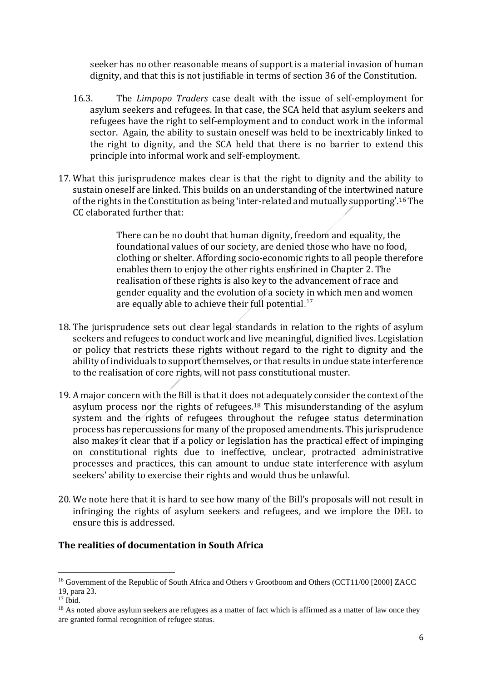seeker has no other reasonable means of support is a material invasion of human dignity, and that this is not justifiable in terms of section 36 of the Constitution.

- 16.3. The *Limpopo Traders* case dealt with the issue of self-employment for asylum seekers and refugees. In that case, the SCA held that asylum seekers and refugees have the right to self-employment and to conduct work in the informal sector. Again, the ability to sustain oneself was held to be inextricably linked to the right to dignity, and the SCA held that there is no barrier to extend this principle into informal work and self-employment.
- 17. What this jurisprudence makes clear is that the right to dignity and the ability to sustain oneself are linked. This builds on an understanding of the intertwined nature of the rights in the Constitution as being 'inter-related and mutually supporting'.<sup>16</sup> The CC elaborated further that:

There can be no doubt that human dignity, freedom and equality, the foundational values of our society, are denied those who have no food, clothing or shelter. Affording socio-economic rights to all people therefore enables them to enjoy the other rights enshrined in Chapter 2. The realisation of these rights is also key to the advancement of race and gender equality and the evolution of a society in which men and women are equally able to achieve their full potential. $^{17}$ 

- 18. The jurisprudence sets out clear legal standards in relation to the rights of asylum seekers and refugees to conduct work and live meaningful, dignified lives. Legislation or policy that restricts these rights without regard to the right to dignity and the ability of individuals to support themselves, or that results in undue state interference to the realisation of core rights, will not pass constitutional muster.
- 19. A major concern with the Bill is that it does not adequately consider the context of the asylum process nor the rights of refugees.<sup>18</sup> This misunderstanding of the asylum system and the rights of refugees throughout the refugee status determination process has repercussions for many of the proposed amendments. This jurisprudence also makes it clear that if a policy or legislation has the practical effect of impinging on constitutional rights due to ineffective, unclear, protracted administrative processes and practices, this can amount to undue state interference with asylum seekers' ability to exercise their rights and would thus be unlawful.
- 20. We note here that it is hard to see how many of the Bill's proposals will not result in infringing the rights of asylum seekers and refugees, and we implore the DEL to ensure this is addressed.

### **The realities of documentation in South Africa**

<sup>&</sup>lt;sup>16</sup> Government of the Republic of South Africa and Others v Grootboom and Others (CCT11/00 [2000] ZACC 19, para 23.

 $17$  Ibid.

<sup>&</sup>lt;sup>18</sup> As noted above asylum seekers are refugees as a matter of fact which is affirmed as a matter of law once they are granted formal recognition of refugee status.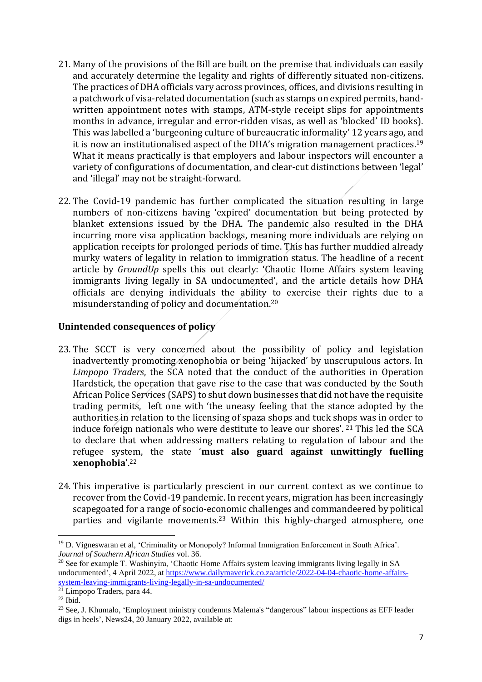- 21. Many of the provisions of the Bill are built on the premise that individuals can easily and accurately determine the legality and rights of differently situated non-citizens. The practices of DHA officials vary across provinces, offices, and divisions resulting in a patchwork of visa-related documentation (such as stamps on expired permits, handwritten appointment notes with stamps, ATM-style receipt slips for appointments months in advance, irregular and error-ridden visas, as well as 'blocked' ID books). This was labelled a 'burgeoning culture of bureaucratic informality' 12 years ago, and it is now an institutionalised aspect of the DHA's migration management practices.<sup>19</sup> What it means practically is that employers and labour inspectors will encounter a variety of configurations of documentation, and clear-cut distinctions between 'legal' and 'illegal' may not be straight-forward.
- 22. The Covid-19 pandemic has further complicated the situation resulting in large numbers of non-citizens having 'expired' documentation but being protected by blanket extensions issued by the DHA. The pandemic also resulted in the DHA incurring more visa application backlogs, meaning more individuals are relying on application receipts for prolonged periods of time. This has further muddied already murky waters of legality in relation to immigration status. The headline of a recent article by *GroundUp* spells this out clearly: 'Chaotic Home Affairs system leaving immigrants living legally in SA undocumented', and the article details how DHA officials are denying individuals the ability to exercise their rights due to a misunderstanding of policy and documentation.<sup>20</sup>

### **Unintended consequences of policy**

- 23. The SCCT is very concerned about the possibility of policy and legislation inadvertently promoting xenophobia or being 'hijacked' by unscrupulous actors. In *Limpopo Traders*, the SCA noted that the conduct of the authorities in Operation Hardstick, the operation that gave rise to the case that was conducted by the South African Police Services (SAPS) to shut down businesses that did not have the requisite trading permits, left one with 'the uneasy feeling that the stance adopted by the authorities in relation to the licensing of spaza shops and tuck shops was in order to induce foreign nationals who were destitute to leave our shores'. <sup>21</sup> This led the SCA to declare that when addressing matters relating to regulation of labour and the refugee system, the state '**must also guard against unwittingly fuelling xenophobia**'. 22
- 24. This imperative is particularly prescient in our current context as we continue to recover from the Covid-19 pandemic. In recent years, migration has been increasingly scapegoated for a range of socio-economic challenges and commandeered by political parties and vigilante movements.<sup>23</sup> Within this highly-charged atmosphere, one

<sup>19</sup> D. Vigneswaran et al, 'Criminality or Monopoly? Informal Immigration Enforcement in South Africa'. *Journal of Southern African Studies* vol. 36.

<sup>&</sup>lt;sup>20</sup> See for example T. Washinyira, 'Chaotic Home Affairs system leaving immigrants living legally in SA undocumented', 4 April 2022, at [https://www.dailymaverick.co.za/article/2022-04-04-chaotic-home-affairs](https://www.dailymaverick.co.za/article/2022-04-04-chaotic-home-affairs-system-leaving-immigrants-living-legally-in-sa-undocumented/)[system-leaving-immigrants-living-legally-in-sa-undocumented/](https://www.dailymaverick.co.za/article/2022-04-04-chaotic-home-affairs-system-leaving-immigrants-living-legally-in-sa-undocumented/)

<sup>21</sup> Limpopo Traders, para 44.

 $22$  Ibid.

<sup>&</sup>lt;sup>23</sup> See, J. Khumalo, 'Employment ministry condemns Malema's "dangerous" labour inspections as EFF leader digs in heels', News24, 20 January 2022, available at: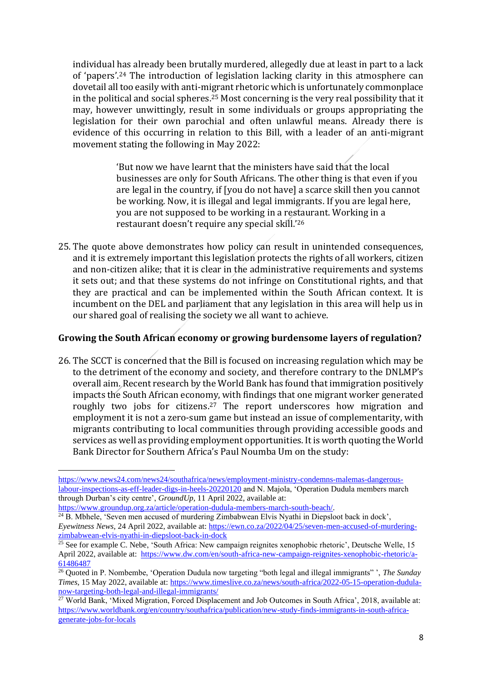individual has already been brutally murdered, allegedly due at least in part to a lack of 'papers'.<sup>24</sup> The introduction of legislation lacking clarity in this atmosphere can dovetail all too easily with anti-migrant rhetoric which is unfortunately commonplace in the political and social spheres.<sup>25</sup> Most concerning is the very real possibility that it may, however unwittingly, result in some individuals or groups appropriating the legislation for their own parochial and often unlawful means. Already there is evidence of this occurring in relation to this Bill, with a leader of an anti-migrant movement stating the following in May 2022:

> 'But now we have learnt that the ministers have said that the local businesses are only for South Africans. The other thing is that even if you are legal in the country, if [you do not have] a scarce skill then you cannot be working. Now, it is illegal and legal immigrants. If you are legal here, you are not supposed to be working in a restaurant. Working in a restaurant doesn't require any special skill.'<sup>26</sup>

25. The quote above demonstrates how policy can result in unintended consequences, and it is extremely important this legislation protects the rights of all workers, citizen and non-citizen alike; that it is clear in the administrative requirements and systems it sets out; and that these systems do not infringe on Constitutional rights, and that they are practical and can be implemented within the South African context. It is incumbent on the DEL and parliament that any legislation in this area will help us in our shared goal of realising the society we all want to achieve.

### **Growing the South African economy or growing burdensome layers of regulation?**

26. The SCCT is concerned that the Bill is focused on increasing regulation which may be to the detriment of the economy and society, and therefore contrary to the DNLMP's overall aim. Recent research by the World Bank has found that immigration positively impacts the South African economy, with findings that one migrant worker generated roughly two jobs for citizens.<sup>27</sup> The report underscores how migration and employment it is not a zero-sum game but instead an issue of complementarity, with migrants contributing to local communities through providing accessible goods and services as well as providing employment opportunities. It is worth quoting the World Bank Director for Southern Africa's Paul Noumba Um on the study:

[https://www.news24.com/news24/southafrica/news/employment-ministry-condemns-malemas-dangerous](https://www.news24.com/news24/southafrica/news/employment-ministry-condemns-malemas-dangerous-labour-inspections-as-eff-leader-digs-in-heels-20220120)[labour-inspections-as-eff-leader-digs-in-heels-20220120](https://www.news24.com/news24/southafrica/news/employment-ministry-condemns-malemas-dangerous-labour-inspections-as-eff-leader-digs-in-heels-20220120) and N. Majola, 'Operation Dudula members march through Durban's city centre', *GroundUp*, 11 April 2022, available at:

[https://www.groundup.org.za/article/operation-dudula-members-march-south-beach/.](https://www.groundup.org.za/article/operation-dudula-members-march-south-beach/)

<sup>&</sup>lt;sup>24</sup> B. Mbhele, 'Seven men accused of murdering Zimbabwean Elvis Nyathi in Diepsloot back in dock', *Eyewitness News*, 24 April 2022, available at: [https://ewn.co.za/2022/04/25/seven-men-accused-of-murdering](https://ewn.co.za/2022/04/25/seven-men-accused-of-murdering-zimbabwean-elvis-nyathi-in-diepsloot-back-in-dock)[zimbabwean-elvis-nyathi-in-diepsloot-back-in-dock](https://ewn.co.za/2022/04/25/seven-men-accused-of-murdering-zimbabwean-elvis-nyathi-in-diepsloot-back-in-dock)

<sup>&</sup>lt;sup>25</sup> See for example C. Nebe, 'South Africa: New campaign reignites xenophobic rhetoric', Deutsche Welle, 15 April 2022, available at: [https://www.dw.com/en/south-africa-new-campaign-reignites-xenophobic-rhetoric/a-](https://www.dw.com/en/south-africa-new-campaign-reignites-xenophobic-rhetoric/a-61486487)[61486487](https://www.dw.com/en/south-africa-new-campaign-reignites-xenophobic-rhetoric/a-61486487)

<sup>26</sup> Quoted in P. Nombembe, 'Operation Dudula now targeting "both legal and illegal immigrants" ', *The Sunday Times*, 15 May 2022, available at: [https://www.timeslive.co.za/news/south-africa/2022-05-15-operation-dudula](https://www.timeslive.co.za/news/south-africa/2022-05-15-operation-dudula-now-targeting-both-legal-and-illegal-immigrants/)[now-targeting-both-legal-and-illegal-immigrants/](https://www.timeslive.co.za/news/south-africa/2022-05-15-operation-dudula-now-targeting-both-legal-and-illegal-immigrants/)

<sup>&</sup>lt;sup>27</sup> World Bank, 'Mixed Migration, Forced Displacement and Job Outcomes in South Africa', 2018, available at: [https://www.worldbank.org/en/country/southafrica/publication/new-study-finds-immigrants-in-south-africa](https://www.worldbank.org/en/country/southafrica/publication/new-study-finds-immigrants-in-south-africa-generate-jobs-for-locals)[generate-jobs-for-locals](https://www.worldbank.org/en/country/southafrica/publication/new-study-finds-immigrants-in-south-africa-generate-jobs-for-locals)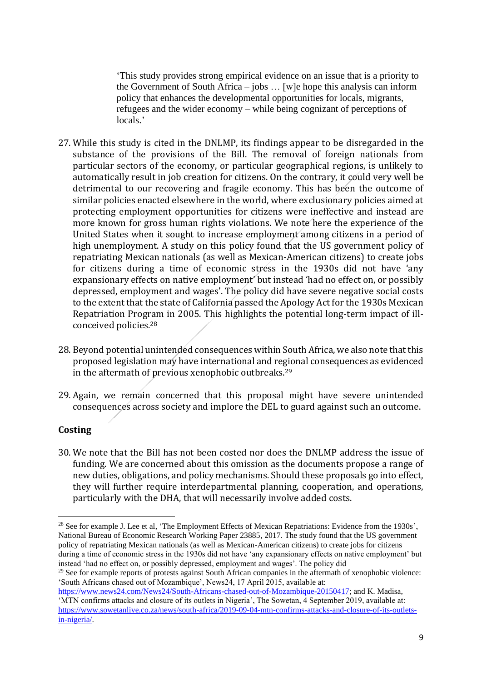'This study provides strong empirical evidence on an issue that is a priority to the Government of South Africa – jobs … [w]e hope this analysis can inform policy that enhances the developmental opportunities for locals, migrants, refugees and the wider economy – while being cognizant of perceptions of locals.'

- 27. While this study is cited in the DNLMP, its findings appear to be disregarded in the substance of the provisions of the Bill. The removal of foreign nationals from particular sectors of the economy, or particular geographical regions, is unlikely to automatically result in job creation for citizens. On the contrary, it could very well be detrimental to our recovering and fragile economy. This has been the outcome of similar policies enacted elsewhere in the world, where exclusionary policies aimed at protecting employment opportunities for citizens were ineffective and instead are more known for gross human rights violations. We note here the experience of the United States when it sought to increase employment among citizens in a period of high unemployment. A study on this policy found that the US government policy of repatriating Mexican nationals (as well as Mexican-American citizens) to create jobs for citizens during a time of economic stress in the 1930s did not have 'any expansionary effects on native employment' but instead 'had no effect on, or possibly depressed, employment and wages'. The policy did have severe negative social costs to the extent that the state of California passed the Apology Act for the 1930s Mexican Repatriation Program in 2005. This highlights the potential long-term impact of illconceived policies. 28
- 28. Beyond potential unintended consequences within South Africa, we also note that this proposed legislation may have international and regional consequences as evidenced in the aftermath of previous xenophobic outbreaks.<sup>29</sup>
- 29. Again, we remain concerned that this proposal might have severe unintended consequences across society and implore the DEL to guard against such an outcome.

### **Costing**

30. We note that the Bill has not been costed nor does the DNLMP address the issue of funding. We are concerned about this omission as the documents propose a range of new duties, obligations, and policy mechanisms. Should these proposals go into effect, they will further require interdepartmental planning, cooperation, and operations, particularly with the DHA, that will necessarily involve added costs.

<sup>&</sup>lt;sup>28</sup> See for example J. Lee et al, 'The Employment Effects of Mexican Repatriations: Evidence from the 1930s', National Bureau of Economic Research Working Paper 23885, 2017. The study found that the US government policy of repatriating Mexican nationals (as well as Mexican-American citizens) to create jobs for citizens during a time of economic stress in the 1930s did not have 'any expansionary effects on native employment' but instead 'had no effect on, or possibly depressed, employment and wages'. The policy did

<sup>&</sup>lt;sup>29</sup> See for example reports of protests against South African companies in the aftermath of xenophobic violence: 'South Africans chased out of Mozambique', News24, 17 April 2015, available at:

[https://www.news24.com/News24/South-Africans-chased-out-of-Mozambique-20150417;](https://www.news24.com/News24/South-Africans-chased-out-of-Mozambique-20150417) and K. Madisa, 'MTN confirms attacks and closure of its outlets in Nigeria', The Sowetan, 4 September 2019, available at: [https://www.sowetanlive.co.za/news/south-africa/2019-09-04-mtn-confirms-attacks-and-closure-of-its-outlets](https://www.sowetanlive.co.za/news/south-africa/2019-09-04-mtn-confirms-attacks-and-closure-of-its-outlets-in-nigeria/)[in-nigeria/.](https://www.sowetanlive.co.za/news/south-africa/2019-09-04-mtn-confirms-attacks-and-closure-of-its-outlets-in-nigeria/)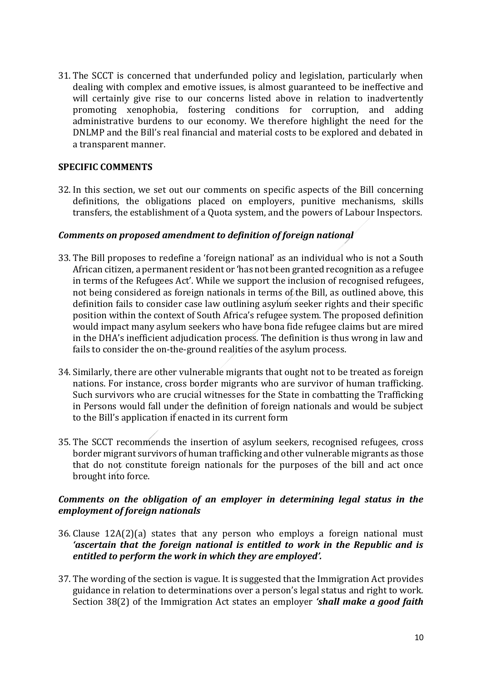31. The SCCT is concerned that underfunded policy and legislation, particularly when dealing with complex and emotive issues, is almost guaranteed to be ineffective and will certainly give rise to our concerns listed above in relation to inadvertently promoting xenophobia, fostering conditions for corruption, and adding administrative burdens to our economy. We therefore highlight the need for the DNLMP and the Bill's real financial and material costs to be explored and debated in a transparent manner.

### **SPECIFIC COMMENTS**

32. In this section, we set out our comments on specific aspects of the Bill concerning definitions, the obligations placed on employers, punitive mechanisms, skills transfers, the establishment of a Quota system, and the powers of Labour Inspectors.

#### *Comments on proposed amendment to definition of foreign national*

- 33. The Bill proposes to redefine a 'foreign national' as an individual who is not a South African citizen, a permanent resident or 'has not been granted recognition as a refugee in terms of the Refugees Act'. While we support the inclusion of recognised refugees, not being considered as foreign nationals in terms of the Bill, as outlined above, this definition fails to consider case law outlining asylum seeker rights and their specific position within the context of South Africa's refugee system. The proposed definition would impact many asylum seekers who have bona fide refugee claims but are mired in the DHA's inefficient adjudication process. The definition is thus wrong in law and fails to consider the on-the-ground realities of the asylum process.
- 34. Similarly, there are other vulnerable migrants that ought not to be treated as foreign nations. For instance, cross border migrants who are survivor of human trafficking. Such survivors who are crucial witnesses for the State in combatting the Trafficking in Persons would fall under the definition of foreign nationals and would be subject to the Bill's application if enacted in its current form
- 35. The SCCT recommends the insertion of asylum seekers, recognised refugees, cross border migrant survivors of human trafficking and other vulnerable migrants as those that do not constitute foreign nationals for the purposes of the bill and act once brought into force.

### *Comments on the obligation of an employer in determining legal status in the employment of foreign nationals*

- 36. Clause 12A(2)(a) states that any person who employs a foreign national must *'ascertain that the foreign national is entitled to work in the Republic and is entitled to perform the work in which they are employed'.*
- 37. The wording of the section is vague. It is suggested that the Immigration Act provides guidance in relation to determinations over a person's legal status and right to work. Section 38(2) of the Immigration Act states an employer *'shall make a good faith*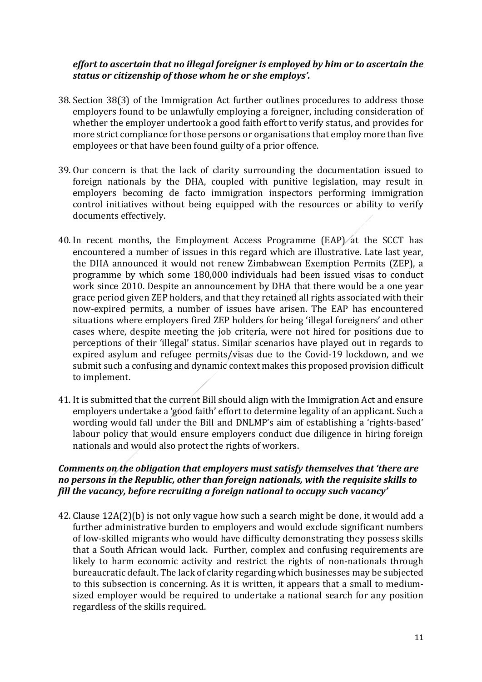### *effort to ascertain that no illegal foreigner is employed by him or to ascertain the status or citizenship of those whom he or she employs'.*

- 38. Section 38(3) of the Immigration Act further outlines procedures to address those employers found to be unlawfully employing a foreigner, including consideration of whether the employer undertook a good faith effort to verify status, and provides for more strict compliance for those persons or organisations that employ more than five employees or that have been found guilty of a prior offence.
- 39. Our concern is that the lack of clarity surrounding the documentation issued to foreign nationals by the DHA, coupled with punitive legislation, may result in employers becoming de facto immigration inspectors performing immigration control initiatives without being equipped with the resources or ability to verify documents effectively.
- 40. In recent months, the Employment Access Programme (EAP) at the SCCT has encountered a number of issues in this regard which are illustrative. Late last year, the DHA announced it would not renew Zimbabwean Exemption Permits (ZEP), a programme by which some 180,000 individuals had been issued visas to conduct work since 2010. Despite an announcement by DHA that there would be a one year grace period given ZEP holders, and that they retained all rights associated with their now-expired permits, a number of issues have arisen. The EAP has encountered situations where employers fired ZEP holders for being 'illegal foreigners' and other cases where, despite meeting the job criteria, were not hired for positions due to perceptions of their 'illegal' status. Similar scenarios have played out in regards to expired asylum and refugee permits/visas due to the Covid-19 lockdown, and we submit such a confusing and dynamic context makes this proposed provision difficult to implement.
- 41. It is submitted that the current Bill should align with the Immigration Act and ensure employers undertake a 'good faith' effort to determine legality of an applicant. Such a wording would fall under the Bill and DNLMP's aim of establishing a 'rights-based' labour policy that would ensure employers conduct due diligence in hiring foreign nationals and would also protect the rights of workers.

## *Comments on the obligation that employers must satisfy themselves that 'there are no persons in the Republic, other than foreign nationals, with the requisite skills to fill the vacancy, before recruiting a foreign national to occupy such vacancy'*

42. Clause 12A(2)(b) is not only vague how such a search might be done, it would add a further administrative burden to employers and would exclude significant numbers of low-skilled migrants who would have difficulty demonstrating they possess skills that a South African would lack. Further, complex and confusing requirements are likely to harm economic activity and restrict the rights of non-nationals through bureaucratic default. The lack of clarity regarding which businesses may be subjected to this subsection is concerning. As it is written, it appears that a small to mediumsized employer would be required to undertake a national search for any position regardless of the skills required.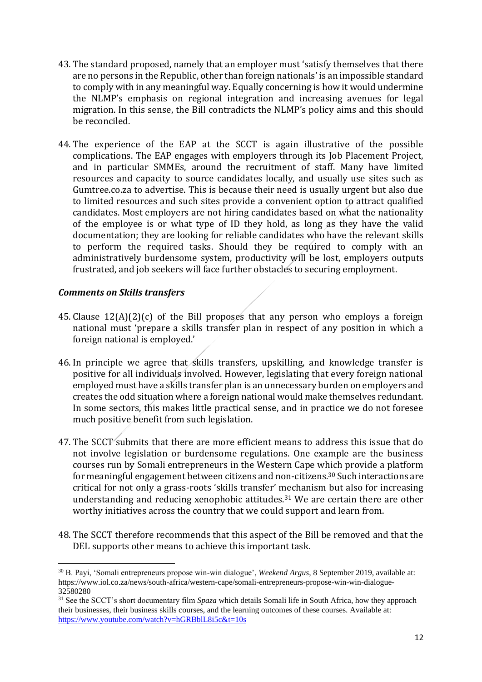- 43. The standard proposed, namely that an employer must 'satisfy themselves that there are no persons in the Republic, other than foreign nationals' is an impossible standard to comply with in any meaningful way. Equally concerning is how it would undermine the NLMP's emphasis on regional integration and increasing avenues for legal migration. In this sense, the Bill contradicts the NLMP's policy aims and this should be reconciled.
- 44. The experience of the EAP at the SCCT is again illustrative of the possible complications. The EAP engages with employers through its Job Placement Project, and in particular SMMEs, around the recruitment of staff. Many have limited resources and capacity to source candidates locally, and usually use sites such as Gumtree.co.za to advertise. This is because their need is usually urgent but also due to limited resources and such sites provide a convenient option to attract qualified candidates. Most employers are not hiring candidates based on what the nationality of the employee is or what type of ID they hold, as long as they have the valid documentation; they are looking for reliable candidates who have the relevant skills to perform the required tasks. Should they be required to comply with an administratively burdensome system, productivity will be lost, employers outputs frustrated, and job seekers will face further obstacles to securing employment.

### *Comments on Skills transfers*

- 45. Clause 12(A)(2)(c) of the Bill proposes that any person who employs a foreign national must 'prepare a skills transfer plan in respect of any position in which a foreign national is employed.'
- 46. In principle we agree that skills transfers, upskilling, and knowledge transfer is positive for all individuals involved. However, legislating that every foreign national employed must have a skills transfer plan is an unnecessary burden on employers and creates the odd situation where a foreign national would make themselves redundant. In some sectors, this makes little practical sense, and in practice we do not foresee much positive benefit from such legislation.
- 47. The SCCT submits that there are more efficient means to address this issue that do not involve legislation or burdensome regulations. One example are the business courses run by Somali entrepreneurs in the Western Cape which provide a platform for meaningful engagement between citizens and non-citizens.<sup>30</sup> Such interactions are critical for not only a grass-roots 'skills transfer' mechanism but also for increasing understanding and reducing xenophobic attitudes.<sup>31</sup> We are certain there are other worthy initiatives across the country that we could support and learn from.
- 48. The SCCT therefore recommends that this aspect of the Bill be removed and that the DEL supports other means to achieve this important task.

<sup>30</sup> B. Payi, 'Somali entrepreneurs propose win-win dialogue', *Weekend Argus*, 8 September 2019, available at: https://www.iol.co.za/news/south-africa/western-cape/somali-entrepreneurs-propose-win-win-dialogue-32580280

<sup>31</sup> See the SCCT's short documentary film *Spaza* which details Somali life in South Africa, how they approach their businesses, their business skills courses, and the learning outcomes of these courses. Available at: <https://www.youtube.com/watch?v=hGRBblL8i5c&t=10s>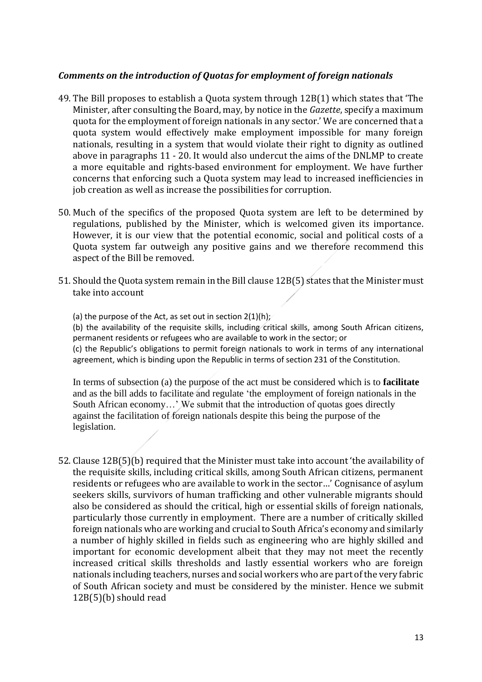### *Comments on the introduction of Quotas for employment of foreign nationals*

- 49. The Bill proposes to establish a Quota system through 12B(1) which states that 'The Minister, after consulting the Board, may, by notice in the *Gazette*, specify a maximum quota for the employment of foreign nationals in any sector.' We are concerned that a quota system would effectively make employment impossible for many foreign nationals, resulting in a system that would violate their right to dignity as outlined above in paragraphs 11 - 20. It would also undercut the aims of the DNLMP to create a more equitable and rights-based environment for employment. We have further concerns that enforcing such a Quota system may lead to increased inefficiencies in job creation as well as increase the possibilities for corruption.
- 50. Much of the specifics of the proposed Quota system are left to be determined by regulations, published by the Minister, which is welcomed given its importance. However, it is our view that the potential economic, social and political costs of a Quota system far outweigh any positive gains and we therefore recommend this aspect of the Bill be removed.
- 51. Should the Quota system remain in the Bill clause 12B(5) states that the Minister must take into account
	- (a) the purpose of the Act, as set out in section  $2(1)(h)$ ;

(b) the availability of the requisite skills, including critical skills, among South African citizens, permanent residents or refugees who are available to work in the sector; or

(c) the Republic's obligations to permit foreign nationals to work in terms of any international agreement, which is binding upon the Republic in terms of section 231 of the Constitution.

In terms of subsection (a) the purpose of the act must be considered which is to **facilitate** and as the bill adds to facilitate and regulate 'the employment of foreign nationals in the South African economy…' We submit that the introduction of quotas goes directly against the facilitation of foreign nationals despite this being the purpose of the legislation.

52. Clause 12B(5)(b) required that the Minister must take into account 'the availability of the requisite skills, including critical skills, among South African citizens, permanent residents or refugees who are available to work in the sector…' Cognisance of asylum seekers skills, survivors of human trafficking and other vulnerable migrants should also be considered as should the critical, high or essential skills of foreign nationals, particularly those currently in employment. There are a number of critically skilled foreign nationals who are working and crucial to South Africa's economy and similarly a number of highly skilled in fields such as engineering who are highly skilled and important for economic development albeit that they may not meet the recently increased critical skills thresholds and lastly essential workers who are foreign nationals including teachers, nurses and social workers who are part of the very fabric of South African society and must be considered by the minister. Hence we submit 12B(5)(b) should read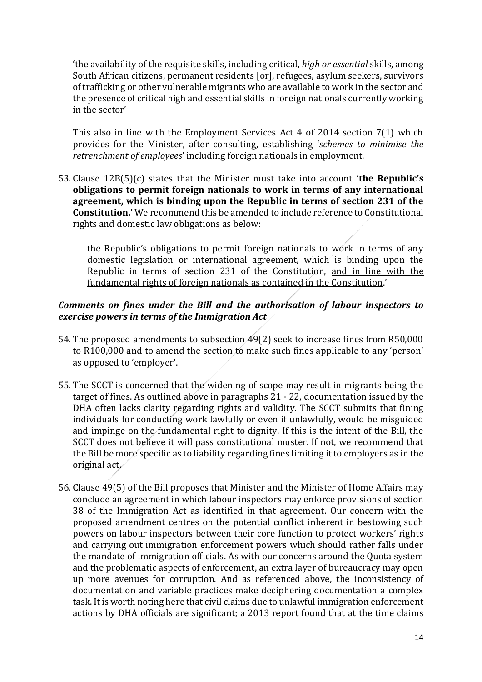'the availability of the requisite skills, including critical, *high or essential* skills, among South African citizens, permanent residents [or], refugees, asylum seekers, survivors of trafficking or other vulnerable migrants who are available to work in the sector and the presence of critical high and essential skills in foreign nationals currently working in the sector'

This also in line with the Employment Services Act 4 of 2014 section 7(1) which provides for the Minister, after consulting, establishing '*schemes to minimise the retrenchment of employees*' including foreign nationals in employment.

53. Clause 12B(5)(c) states that the Minister must take into account **'the Republic's obligations to permit foreign nationals to work in terms of any international agreement, which is binding upon the Republic in terms of section 231 of the Constitution.'** We recommend this be amended to include reference to Constitutional rights and domestic law obligations as below:

the Republic's obligations to permit foreign nationals to work in terms of any domestic legislation or international agreement, which is binding upon the Republic in terms of section 231 of the Constitution, and in line with the fundamental rights of foreign nationals as contained in the Constitution.'

## *Comments on fines under the Bill and the authorisation of labour inspectors to exercise powers in terms of the Immigration Act*

- 54. The proposed amendments to subsection 49(2) seek to increase fines from R50,000 to R100,000 and to amend the section to make such fines applicable to any 'person' as opposed to 'employer'.
- 55. The SCCT is concerned that the widening of scope may result in migrants being the target of fines. As outlined above in paragraphs 21 - 22, documentation issued by the DHA often lacks clarity regarding rights and validity. The SCCT submits that fining individuals for conducting work lawfully or even if unlawfully, would be misguided and impinge on the fundamental right to dignity. If this is the intent of the Bill, the SCCT does not believe it will pass constitutional muster. If not, we recommend that the Bill be more specific as to liability regarding fines limiting it to employers as in the original act.
- 56. Clause 49(5) of the Bill proposes that Minister and the Minister of Home Affairs may conclude an agreement in which labour inspectors may enforce provisions of section 38 of the Immigration Act as identified in that agreement. Our concern with the proposed amendment centres on the potential conflict inherent in bestowing such powers on labour inspectors between their core function to protect workers' rights and carrying out immigration enforcement powers which should rather falls under the mandate of immigration officials. As with our concerns around the Quota system and the problematic aspects of enforcement, an extra layer of bureaucracy may open up more avenues for corruption. And as referenced above, the inconsistency of documentation and variable practices make deciphering documentation a complex task. It is worth noting here that civil claims due to unlawful immigration enforcement actions by DHA officials are significant; a 2013 report found that at the time claims